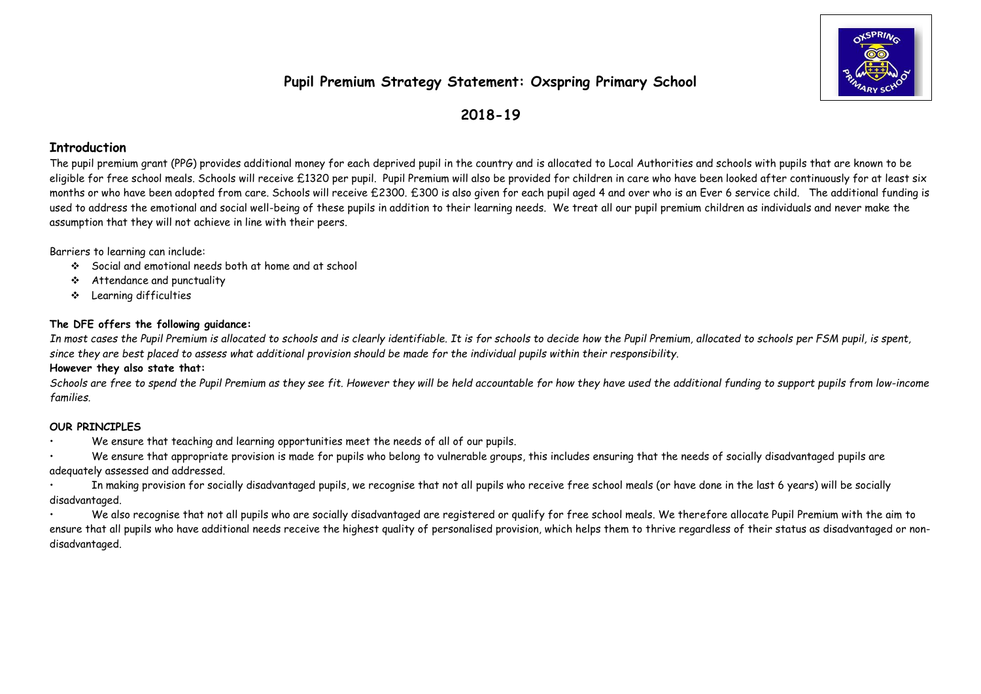# **Pupil Premium Strategy Statement: Oxspring Primary School**



# **2018-19**

## **Introduction**

The pupil premium grant (PPG) provides additional money for each deprived pupil in the country and is allocated to Local Authorities and schools with pupils that are known to be eligible for free school meals. Schools will receive £1320 per pupil. Pupil Premium will also be provided for children in care who have been looked after continuously for at least six months or who have been adopted from care. Schools will receive £2300. £300 is also given for each pupil aged 4 and over who is an Ever 6 service child. The additional funding is used to address the emotional and social well-being of these pupils in addition to their learning needs. We treat all our pupil premium children as individuals and never make the assumption that they will not achieve in line with their peers.

Barriers to learning can include:

- Social and emotional needs both at home and at school
- Attendance and punctuality
- Learning difficulties

#### **The DFE offers the following guidance:**

*In most cases the Pupil Premium is allocated to schools and is clearly identifiable. It is for schools to decide how the Pupil Premium, allocated to schools per FSM pupil, is spent, since they are best placed to assess what additional provision should be made for the individual pupils within their responsibility.*

#### **However they also state that:**

*Schools are free to spend the Pupil Premium as they see fit. However they will be held accountable for how they have used the additional funding to support pupils from low-income families.*

### **OUR PRINCIPLES**

• We ensure that teaching and learning opportunities meet the needs of all of our pupils.

• We ensure that appropriate provision is made for pupils who belong to vulnerable groups, this includes ensuring that the needs of socially disadvantaged pupils are adequately assessed and addressed.

• In making provision for socially disadvantaged pupils, we recognise that not all pupils who receive free school meals (or have done in the last 6 years) will be socially disadvantaged.

• We also recognise that not all pupils who are socially disadvantaged are registered or qualify for free school meals. We therefore allocate Pupil Premium with the aim to ensure that all pupils who have additional needs receive the highest quality of personalised provision, which helps them to thrive regardless of their status as disadvantaged or nondisadvantaged.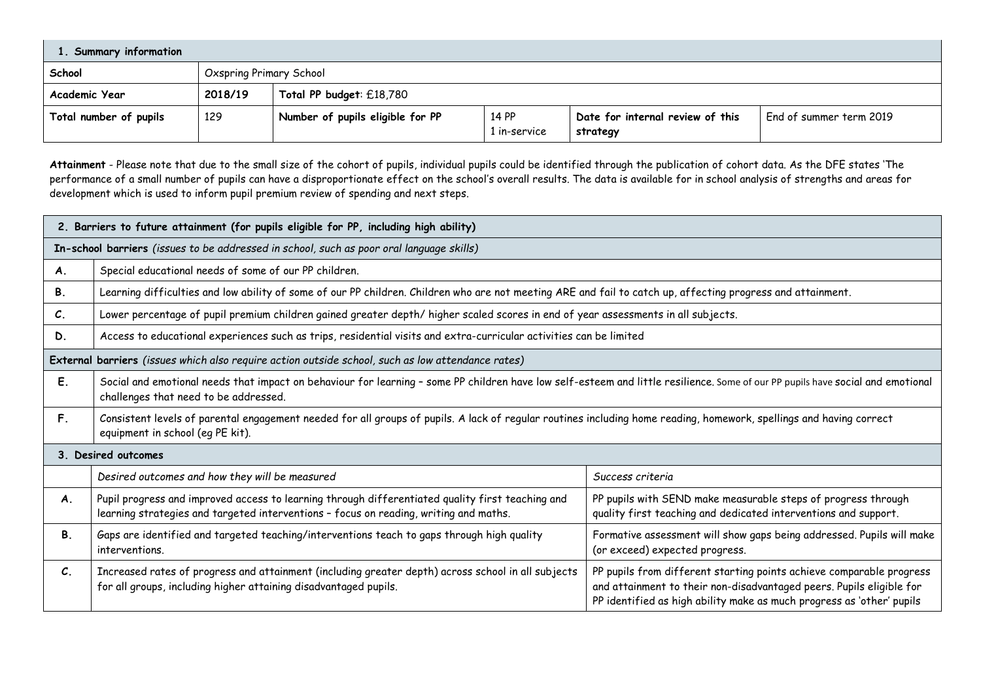| <b>Summary information</b> |         |                                  |                       |                                              |                         |  |  |  |
|----------------------------|---------|----------------------------------|-----------------------|----------------------------------------------|-------------------------|--|--|--|
| School                     |         | <b>Oxspring Primary School</b>   |                       |                                              |                         |  |  |  |
| Academic Year              | 2018/19 | Total PP budget: £18,780         |                       |                                              |                         |  |  |  |
| Total number of pupils     | 129     | Number of pupils eligible for PP | 14 PP<br>1 in-service | Date for internal review of this<br>strategy | End of summer term 2019 |  |  |  |

**Attainment** - Please note that due to the small size of the cohort of pupils, individual pupils could be identified through the publication of cohort data. As the DFE states 'The performance of a small number of pupils can have a disproportionate effect on the school's overall results. The data is available for in school analysis of strengths and areas for development which is used to inform pupil premium review of spending and next steps.

|                 | 2. Barriers to future attainment (for pupils eligible for PP, including high ability)                                                                                                                                                                                                                                         |                                                                                                                                                                                                                       |  |  |  |  |  |  |
|-----------------|-------------------------------------------------------------------------------------------------------------------------------------------------------------------------------------------------------------------------------------------------------------------------------------------------------------------------------|-----------------------------------------------------------------------------------------------------------------------------------------------------------------------------------------------------------------------|--|--|--|--|--|--|
|                 | In-school barriers (issues to be addressed in school, such as poor oral language skills)                                                                                                                                                                                                                                      |                                                                                                                                                                                                                       |  |  |  |  |  |  |
| A.              | Special educational needs of some of our PP children.                                                                                                                                                                                                                                                                         |                                                                                                                                                                                                                       |  |  |  |  |  |  |
| <b>B.</b>       | Learning difficulties and low ability of some of our PP children. Children who are not meeting ARE and fail to catch up, affecting progress and attainment.                                                                                                                                                                   |                                                                                                                                                                                                                       |  |  |  |  |  |  |
| $\mathcal{C}$ . | Lower percentage of pupil premium children gained greater depth/higher scaled scores in end of year assessments in all subjects.                                                                                                                                                                                              |                                                                                                                                                                                                                       |  |  |  |  |  |  |
| D.              | Access to educational experiences such as trips, residential visits and extra-curricular activities can be limited                                                                                                                                                                                                            |                                                                                                                                                                                                                       |  |  |  |  |  |  |
|                 | External barriers (issues which also require action outside school, such as low attendance rates)                                                                                                                                                                                                                             |                                                                                                                                                                                                                       |  |  |  |  |  |  |
| Ε.              | Social and emotional needs that impact on behaviour for learning - some PP children have low self-esteem and little resilience. Some of our PP pupils have social and emotional<br>challenges that need to be addressed.                                                                                                      |                                                                                                                                                                                                                       |  |  |  |  |  |  |
| F.              | Consistent levels of parental engagement needed for all groups of pupils. A lack of regular routines including home reading, homework, spellings and having correct<br>equipment in school (eq PE kit).                                                                                                                       |                                                                                                                                                                                                                       |  |  |  |  |  |  |
|                 | 3. Desired outcomes                                                                                                                                                                                                                                                                                                           |                                                                                                                                                                                                                       |  |  |  |  |  |  |
|                 | Desired outcomes and how they will be measured                                                                                                                                                                                                                                                                                | Success criteria                                                                                                                                                                                                      |  |  |  |  |  |  |
| A.              | Pupil progress and improved access to learning through differentiated quality first teaching and<br>PP pupils with SEND make measurable steps of progress through<br>learning strategies and targeted interventions - focus on reading, writing and maths.<br>quality first teaching and dedicated interventions and support. |                                                                                                                                                                                                                       |  |  |  |  |  |  |
| Β.              | Gaps are identified and targeted teaching/interventions teach to gaps through high quality<br>Formative assessment will show gaps being addressed. Pupils will make<br>interventions.<br>(or exceed) expected progress.                                                                                                       |                                                                                                                                                                                                                       |  |  |  |  |  |  |
| $\mathcal{C}$ . | Increased rates of progress and attainment (including greater depth) across school in all subjects<br>for all groups, including higher attaining disadvantaged pupils.                                                                                                                                                        | PP pupils from different starting points achieve comparable progress<br>and attainment to their non-disadvantaged peers. Pupils eligible for<br>PP identified as high ability make as much progress as 'other' pupils |  |  |  |  |  |  |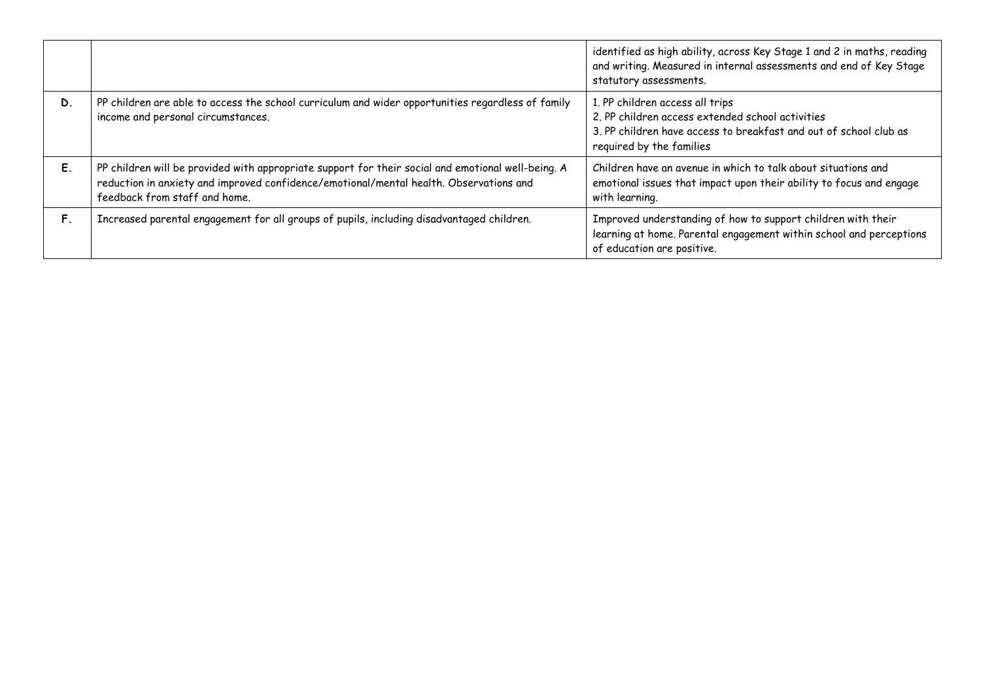|    |                                                                                                                                                                                                                               | identified as high ability, across Key Stage 1 and 2 in maths, reading<br>and writing. Measured in internal assessments and end of Key Stage<br>statutory assessments.               |
|----|-------------------------------------------------------------------------------------------------------------------------------------------------------------------------------------------------------------------------------|--------------------------------------------------------------------------------------------------------------------------------------------------------------------------------------|
| D. | PP children are able to access the school curriculum and wider opportunities regardless of family<br>income and personal circumstances.                                                                                       | 1. PP children access all trips<br>2. PP children access extended school activities<br>3. PP children have access to breakfast and out of school club as<br>required by the families |
| Ε. | PP children will be provided with appropriate support for their social and emotional well-being. A<br>reduction in anxiety and improved confidence/emotional/mental health. Observations and<br>feedback from staff and home. | Children have an avenue in which to talk about situations and<br>emotional issues that impact upon their ability to focus and engage<br>with learning.                               |
| F. | Increased parental engagement for all groups of pupils, including disadvantaged children.                                                                                                                                     | Improved understanding of how to support children with their<br>learning at home. Parental engagement within school and perceptions<br>of education are positive.                    |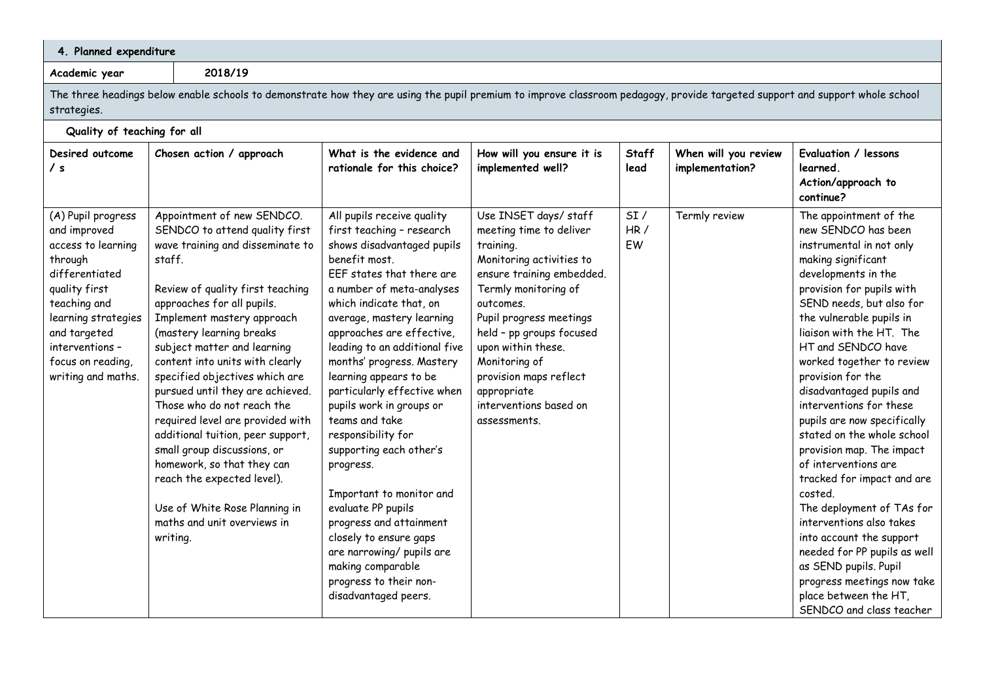| 4. Planned expenditure                                                                                                                                                                                                      |                                                                                                                                                                              |                                                                                                                                                                                                                                                                                                                                                                                                                                                                                                                                                                                                                                        |                                                                                                                                                                                                                                                                                                                                                                                                                                                                                                                                                                                                                                                                                                     |                                                                                                                                                                                                                                                                                                                                             |                      |                                         |                                                                                                                                                                                                                                                                                                                                                                                                                                                                                                                                                                                                                                                                                                                                                                    |  |
|-----------------------------------------------------------------------------------------------------------------------------------------------------------------------------------------------------------------------------|------------------------------------------------------------------------------------------------------------------------------------------------------------------------------|----------------------------------------------------------------------------------------------------------------------------------------------------------------------------------------------------------------------------------------------------------------------------------------------------------------------------------------------------------------------------------------------------------------------------------------------------------------------------------------------------------------------------------------------------------------------------------------------------------------------------------------|-----------------------------------------------------------------------------------------------------------------------------------------------------------------------------------------------------------------------------------------------------------------------------------------------------------------------------------------------------------------------------------------------------------------------------------------------------------------------------------------------------------------------------------------------------------------------------------------------------------------------------------------------------------------------------------------------------|---------------------------------------------------------------------------------------------------------------------------------------------------------------------------------------------------------------------------------------------------------------------------------------------------------------------------------------------|----------------------|-----------------------------------------|--------------------------------------------------------------------------------------------------------------------------------------------------------------------------------------------------------------------------------------------------------------------------------------------------------------------------------------------------------------------------------------------------------------------------------------------------------------------------------------------------------------------------------------------------------------------------------------------------------------------------------------------------------------------------------------------------------------------------------------------------------------------|--|
| Academic year                                                                                                                                                                                                               |                                                                                                                                                                              | 2018/19                                                                                                                                                                                                                                                                                                                                                                                                                                                                                                                                                                                                                                |                                                                                                                                                                                                                                                                                                                                                                                                                                                                                                                                                                                                                                                                                                     |                                                                                                                                                                                                                                                                                                                                             |                      |                                         |                                                                                                                                                                                                                                                                                                                                                                                                                                                                                                                                                                                                                                                                                                                                                                    |  |
| strategies.                                                                                                                                                                                                                 | The three headings below enable schools to demonstrate how they are using the pupil premium to improve classroom pedagogy, provide targeted support and support whole school |                                                                                                                                                                                                                                                                                                                                                                                                                                                                                                                                                                                                                                        |                                                                                                                                                                                                                                                                                                                                                                                                                                                                                                                                                                                                                                                                                                     |                                                                                                                                                                                                                                                                                                                                             |                      |                                         |                                                                                                                                                                                                                                                                                                                                                                                                                                                                                                                                                                                                                                                                                                                                                                    |  |
| Quality of teaching for all                                                                                                                                                                                                 |                                                                                                                                                                              |                                                                                                                                                                                                                                                                                                                                                                                                                                                                                                                                                                                                                                        |                                                                                                                                                                                                                                                                                                                                                                                                                                                                                                                                                                                                                                                                                                     |                                                                                                                                                                                                                                                                                                                                             |                      |                                         |                                                                                                                                                                                                                                                                                                                                                                                                                                                                                                                                                                                                                                                                                                                                                                    |  |
| Desired outcome<br>/ s                                                                                                                                                                                                      |                                                                                                                                                                              | Chosen action / approach                                                                                                                                                                                                                                                                                                                                                                                                                                                                                                                                                                                                               | What is the evidence and<br>rationale for this choice?                                                                                                                                                                                                                                                                                                                                                                                                                                                                                                                                                                                                                                              | How will you ensure it is<br>implemented well?                                                                                                                                                                                                                                                                                              | <b>Staff</b><br>lead | When will you review<br>implementation? | Evaluation / lessons<br>learned.<br>Action/approach to<br>continue?                                                                                                                                                                                                                                                                                                                                                                                                                                                                                                                                                                                                                                                                                                |  |
| (A) Pupil progress<br>and improved<br>access to learning<br>through<br>differentiated<br>quality first<br>teaching and<br>learning strategies<br>and targeted<br>interventions -<br>focus on reading,<br>writing and maths. | staff.<br>writing.                                                                                                                                                           | Appointment of new SENDCO.<br>SENDCO to attend quality first<br>wave training and disseminate to<br>Review of quality first teaching<br>approaches for all pupils.<br>Implement mastery approach<br>(mastery learning breaks<br>subject matter and learning<br>content into units with clearly<br>specified objectives which are<br>pursued until they are achieved.<br>Those who do not reach the<br>required level are provided with<br>additional tuition, peer support,<br>small group discussions, or<br>homework, so that they can<br>reach the expected level).<br>Use of White Rose Planning in<br>maths and unit overviews in | All pupils receive quality<br>first teaching - research<br>shows disadvantaged pupils<br>benefit most.<br>EEF states that there are<br>a number of meta-analyses<br>which indicate that, on<br>average, mastery learning<br>approaches are effective,<br>leading to an additional five<br>months' progress. Mastery<br>learning appears to be<br>particularly effective when<br>pupils work in groups or<br>teams and take<br>responsibility for<br>supporting each other's<br>progress.<br>Important to monitor and<br>evaluate PP pupils<br>progress and attainment<br>closely to ensure gaps<br>are narrowing/ pupils are<br>making comparable<br>progress to their non-<br>disadvantaged peers. | Use INSET days/staff<br>meeting time to deliver<br>training.<br>Monitoring activities to<br>ensure training embedded.<br>Termly monitoring of<br>outcomes.<br>Pupil progress meetings<br>held - pp groups focused<br>upon within these.<br>Monitoring of<br>provision maps reflect<br>appropriate<br>interventions based on<br>assessments. | SI/<br>HR/<br>EW     | Termly review                           | The appointment of the<br>new SENDCO has been<br>instrumental in not only<br>making significant<br>developments in the<br>provision for pupils with<br>SEND needs, but also for<br>the vulnerable pupils in<br>liaison with the HT. The<br>HT and SENDCO have<br>worked together to review<br>provision for the<br>disadvantaged pupils and<br>interventions for these<br>pupils are now specifically<br>stated on the whole school<br>provision map. The impact<br>of interventions are<br>tracked for impact and are<br>costed.<br>The deployment of TAs for<br>interventions also takes<br>into account the support<br>needed for PP pupils as well<br>as SEND pupils. Pupil<br>progress meetings now take<br>place between the HT,<br>SENDCO and class teacher |  |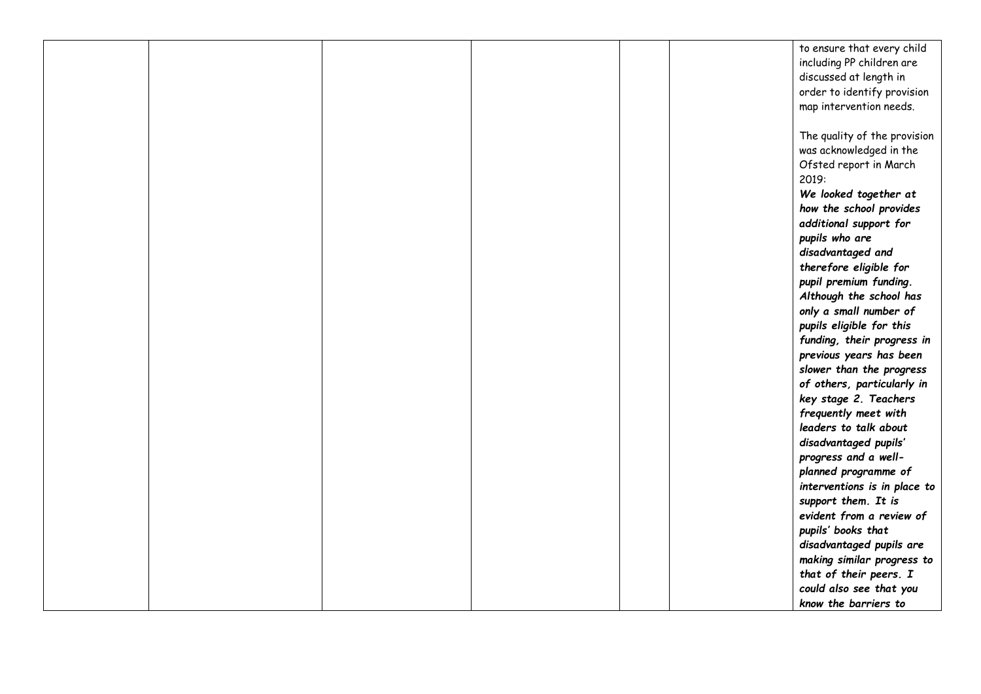|  |  |  | to ensure that every child   |
|--|--|--|------------------------------|
|  |  |  | including PP children are    |
|  |  |  | discussed at length in       |
|  |  |  |                              |
|  |  |  | order to identify provision  |
|  |  |  | map intervention needs.      |
|  |  |  |                              |
|  |  |  | The quality of the provision |
|  |  |  | was acknowledged in the      |
|  |  |  | Ofsted report in March       |
|  |  |  | 2019:                        |
|  |  |  | We looked together at        |
|  |  |  | how the school provides      |
|  |  |  | additional support for       |
|  |  |  | pupils who are               |
|  |  |  | disadvantaged and            |
|  |  |  | therefore eligible for       |
|  |  |  | pupil premium funding.       |
|  |  |  | Although the school has      |
|  |  |  | only a small number of       |
|  |  |  |                              |
|  |  |  | pupils eligible for this     |
|  |  |  | funding, their progress in   |
|  |  |  | previous years has been      |
|  |  |  | slower than the progress     |
|  |  |  | of others, particularly in   |
|  |  |  | key stage 2. Teachers        |
|  |  |  | frequently meet with         |
|  |  |  | leaders to talk about        |
|  |  |  | disadvantaged pupils'        |
|  |  |  | progress and a well-         |
|  |  |  | planned programme of         |
|  |  |  | interventions is in place to |
|  |  |  | support them. It is          |
|  |  |  | evident from a review of     |
|  |  |  | pupils' books that           |
|  |  |  | disadvantaged pupils are     |
|  |  |  | making similar progress to   |
|  |  |  | that of their peers. I       |
|  |  |  | could also see that you      |
|  |  |  | know the barriers to         |
|  |  |  |                              |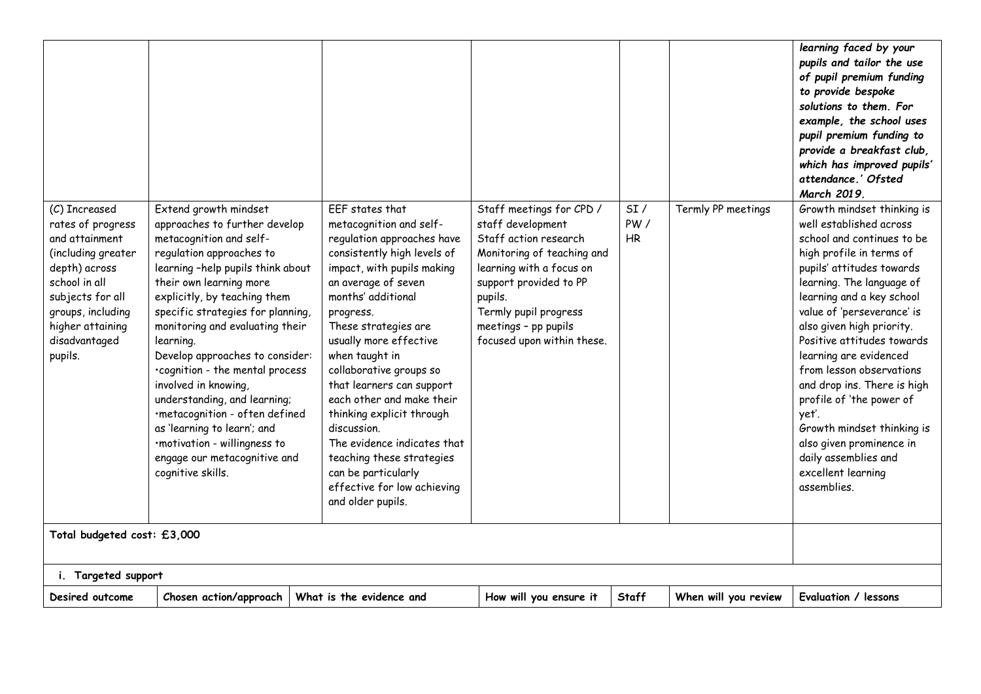| (C) Increased<br>rates of progress<br>and attainment<br>(including greater<br>depth) across<br>school in all<br>subjects for all<br>groups, including<br>higher attaining<br>disadvantaged<br>pupils. | Extend growth mindset<br>approaches to further develop<br>metacognition and self-<br>regulation approaches to<br>learning -help pupils think about<br>their own learning more<br>explicitly, by teaching them<br>specific strategies for planning,<br>monitoring and evaluating their<br>learning.<br>Develop approaches to consider:<br>·cognition - the mental process<br>involved in knowing,<br>understanding, and learning;<br>·metacognition - often defined<br>as 'learning to learn'; and<br>·motivation - willingness to<br>engage our metacognitive and<br>cognitive skills. | EEF states that<br>metacognition and self-<br>regulation approaches have<br>consistently high levels of<br>impact, with pupils making<br>an average of seven<br>months' additional<br>progress.<br>These strategies are<br>usually more effective<br>when taught in<br>collaborative groups so<br>that learners can support<br>each other and make their<br>thinking explicit through<br>discussion.<br>The evidence indicates that<br>teaching these strategies<br>can be particularly<br>effective for low achieving<br>and older pupils. | Staff meetings for CPD /<br>staff development<br>Staff action research<br>Monitoring of teaching and<br>learning with a focus on<br>support provided to PP<br>pupils.<br>Termly pupil progress<br>meetings - pp pupils<br>focused upon within these. | SI/<br>PW/<br>HR | Termly PP meetings   | learning faced by your<br>pupils and tailor the use<br>of pupil premium funding<br>to provide bespoke<br>solutions to them. For<br>example, the school uses<br>pupil premium funding to<br>provide a breakfast club,<br>which has improved pupils'<br>attendance.' Ofsted<br>March 2019.<br>Growth mindset thinking is<br>well established across<br>school and continues to be<br>high profile in terms of<br>pupils' attitudes towards<br>learning. The language of<br>learning and a key school<br>value of 'perseverance' is<br>also given high priority.<br>Positive attitudes towards<br>learning are evidenced<br>from lesson observations<br>and drop ins. There is high<br>profile of 'the power of<br>yet'.<br>Growth mindset thinking is<br>also given prominence in<br>daily assemblies and<br>excellent learning<br>assemblies. |
|-------------------------------------------------------------------------------------------------------------------------------------------------------------------------------------------------------|----------------------------------------------------------------------------------------------------------------------------------------------------------------------------------------------------------------------------------------------------------------------------------------------------------------------------------------------------------------------------------------------------------------------------------------------------------------------------------------------------------------------------------------------------------------------------------------|---------------------------------------------------------------------------------------------------------------------------------------------------------------------------------------------------------------------------------------------------------------------------------------------------------------------------------------------------------------------------------------------------------------------------------------------------------------------------------------------------------------------------------------------|------------------------------------------------------------------------------------------------------------------------------------------------------------------------------------------------------------------------------------------------------|------------------|----------------------|----------------------------------------------------------------------------------------------------------------------------------------------------------------------------------------------------------------------------------------------------------------------------------------------------------------------------------------------------------------------------------------------------------------------------------------------------------------------------------------------------------------------------------------------------------------------------------------------------------------------------------------------------------------------------------------------------------------------------------------------------------------------------------------------------------------------------------------------|
|                                                                                                                                                                                                       |                                                                                                                                                                                                                                                                                                                                                                                                                                                                                                                                                                                        |                                                                                                                                                                                                                                                                                                                                                                                                                                                                                                                                             |                                                                                                                                                                                                                                                      |                  |                      |                                                                                                                                                                                                                                                                                                                                                                                                                                                                                                                                                                                                                                                                                                                                                                                                                                              |
| Total budgeted cost: £3,000                                                                                                                                                                           |                                                                                                                                                                                                                                                                                                                                                                                                                                                                                                                                                                                        |                                                                                                                                                                                                                                                                                                                                                                                                                                                                                                                                             |                                                                                                                                                                                                                                                      |                  |                      |                                                                                                                                                                                                                                                                                                                                                                                                                                                                                                                                                                                                                                                                                                                                                                                                                                              |
| i. Targeted support                                                                                                                                                                                   |                                                                                                                                                                                                                                                                                                                                                                                                                                                                                                                                                                                        |                                                                                                                                                                                                                                                                                                                                                                                                                                                                                                                                             |                                                                                                                                                                                                                                                      |                  |                      |                                                                                                                                                                                                                                                                                                                                                                                                                                                                                                                                                                                                                                                                                                                                                                                                                                              |
| Desired outcome                                                                                                                                                                                       | Chosen action/approach                                                                                                                                                                                                                                                                                                                                                                                                                                                                                                                                                                 | What is the evidence and                                                                                                                                                                                                                                                                                                                                                                                                                                                                                                                    | How will you ensure it                                                                                                                                                                                                                               | Staff            | When will you review | Evaluation / lessons                                                                                                                                                                                                                                                                                                                                                                                                                                                                                                                                                                                                                                                                                                                                                                                                                         |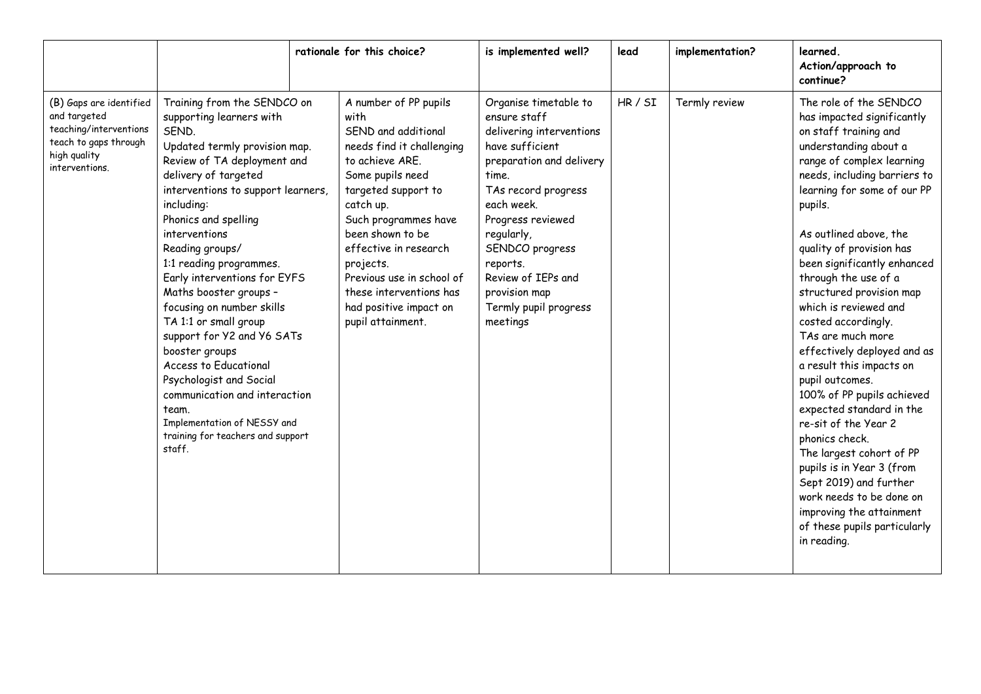|                                                                                                                              |                                                                                                                                                                                                                                                                                                                                                                                                                                                                                                                                                                                                                                                 | rationale for this choice?                                                                                                                                                                                                                                                                                                                            | is implemented well?                                                                                                                                                                                                                                                                                         | lead    | implementation? | learned.<br>Action/approach to<br>continue?                                                                                                                                                                                                                                                                                                                                                                                                                                                                                                                                                                                                                                                                                                                                                             |
|------------------------------------------------------------------------------------------------------------------------------|-------------------------------------------------------------------------------------------------------------------------------------------------------------------------------------------------------------------------------------------------------------------------------------------------------------------------------------------------------------------------------------------------------------------------------------------------------------------------------------------------------------------------------------------------------------------------------------------------------------------------------------------------|-------------------------------------------------------------------------------------------------------------------------------------------------------------------------------------------------------------------------------------------------------------------------------------------------------------------------------------------------------|--------------------------------------------------------------------------------------------------------------------------------------------------------------------------------------------------------------------------------------------------------------------------------------------------------------|---------|-----------------|---------------------------------------------------------------------------------------------------------------------------------------------------------------------------------------------------------------------------------------------------------------------------------------------------------------------------------------------------------------------------------------------------------------------------------------------------------------------------------------------------------------------------------------------------------------------------------------------------------------------------------------------------------------------------------------------------------------------------------------------------------------------------------------------------------|
| (B) Gaps are identified<br>and targeted<br>teaching/interventions<br>teach to gaps through<br>high quality<br>interventions. | Training from the SENDCO on<br>supporting learners with<br>SEND.<br>Updated termly provision map.<br>Review of TA deployment and<br>delivery of targeted<br>interventions to support learners,<br>including:<br>Phonics and spelling<br>interventions<br>Reading groups/<br>1:1 reading programmes.<br>Early interventions for EYFS<br>Maths booster groups -<br>focusing on number skills<br>TA 1:1 or small group<br>support for Y2 and Y6 SATs<br>booster groups<br>Access to Educational<br>Psychologist and Social<br>communication and interaction<br>team.<br>Implementation of NESSY and<br>training for teachers and support<br>staff. | A number of PP pupils<br>with<br>SEND and additional<br>needs find it challenging<br>to achieve ARE.<br>Some pupils need<br>targeted support to<br>catch up.<br>Such programmes have<br>been shown to be<br>effective in research<br>projects.<br>Previous use in school of<br>these interventions has<br>had positive impact on<br>pupil attainment. | Organise timetable to<br>ensure staff<br>delivering interventions<br>have sufficient<br>preparation and delivery<br>time.<br>TAs record progress<br>each week.<br>Progress reviewed<br>regularly,<br>SENDCO progress<br>reports.<br>Review of IEPs and<br>provision map<br>Termly pupil progress<br>meetings | HR / SI | Termly review   | The role of the SENDCO<br>has impacted significantly<br>on staff training and<br>understanding about a<br>range of complex learning<br>needs, including barriers to<br>learning for some of our PP<br>pupils.<br>As outlined above, the<br>quality of provision has<br>been significantly enhanced<br>through the use of a<br>structured provision map<br>which is reviewed and<br>costed accordingly.<br>TAs are much more<br>effectively deployed and as<br>a result this impacts on<br>pupil outcomes.<br>100% of PP pupils achieved<br>expected standard in the<br>re-sit of the Year 2<br>phonics check.<br>The largest cohort of PP<br>pupils is in Year 3 (from<br>Sept 2019) and further<br>work needs to be done on<br>improving the attainment<br>of these pupils particularly<br>in reading. |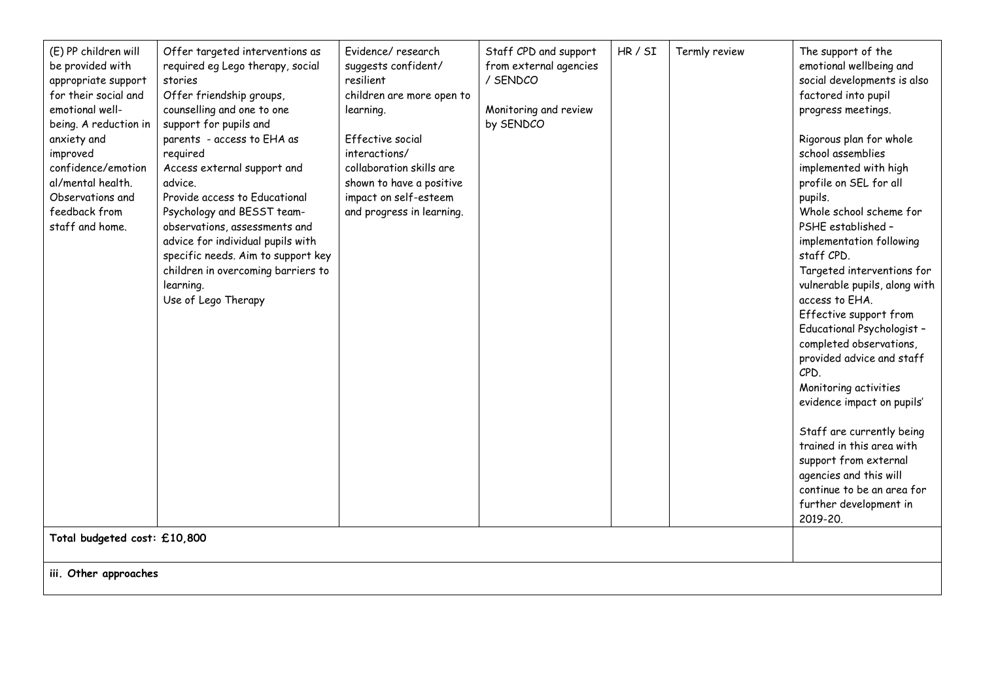| (E) PP children will<br>be provided with<br>appropriate support<br>for their social and<br>emotional well-<br>being. A reduction in<br>anxiety and<br>improved<br>confidence/emotion<br>al/mental health.<br>Observations and<br>feedback from<br>staff and home. | Offer targeted interventions as<br>required eg Lego therapy, social<br>stories<br>Offer friendship groups,<br>counselling and one to one<br>support for pupils and<br>parents - access to EHA as<br>required<br>Access external support and<br>advice.<br>Provide access to Educational<br>Psychology and BESST team-<br>observations, assessments and<br>advice for individual pupils with<br>specific needs. Aim to support key<br>children in overcoming barriers to<br>learning.<br>Use of Lego Therapy | Evidence/research<br>suggests confident/<br>resilient<br>children are more open to<br>learning.<br><b>Effective social</b><br>interactions/<br>collaboration skills are<br>shown to have a positive<br>impact on self-esteem<br>and progress in learning. | Staff CPD and support<br>from external agencies<br>/ SENDCO<br>Monitoring and review<br>by SENDCO | HR / SI | Termly review | The support of the<br>emotional wellbeing and<br>social developments is also<br>factored into pupil<br>progress meetings.<br>Rigorous plan for whole<br>school assemblies<br>implemented with high<br>profile on SEL for all<br>pupils.<br>Whole school scheme for<br>PSHE established -<br>implementation following<br>staff CPD.<br>Targeted interventions for<br>vulnerable pupils, along with<br>access to EHA.<br>Effective support from<br>Educational Psychologist -<br>completed observations,<br>provided advice and staff<br>CPD.<br>Monitoring activities<br>evidence impact on pupils'<br>Staff are currently being<br>trained in this area with<br>support from external<br>agencies and this will<br>continue to be an area for<br>further development in<br>2019-20. |  |  |  |
|-------------------------------------------------------------------------------------------------------------------------------------------------------------------------------------------------------------------------------------------------------------------|-------------------------------------------------------------------------------------------------------------------------------------------------------------------------------------------------------------------------------------------------------------------------------------------------------------------------------------------------------------------------------------------------------------------------------------------------------------------------------------------------------------|-----------------------------------------------------------------------------------------------------------------------------------------------------------------------------------------------------------------------------------------------------------|---------------------------------------------------------------------------------------------------|---------|---------------|-------------------------------------------------------------------------------------------------------------------------------------------------------------------------------------------------------------------------------------------------------------------------------------------------------------------------------------------------------------------------------------------------------------------------------------------------------------------------------------------------------------------------------------------------------------------------------------------------------------------------------------------------------------------------------------------------------------------------------------------------------------------------------------|--|--|--|
|                                                                                                                                                                                                                                                                   | Total budgeted cost: £10,800<br>iii. Other approaches                                                                                                                                                                                                                                                                                                                                                                                                                                                       |                                                                                                                                                                                                                                                           |                                                                                                   |         |               |                                                                                                                                                                                                                                                                                                                                                                                                                                                                                                                                                                                                                                                                                                                                                                                     |  |  |  |
|                                                                                                                                                                                                                                                                   |                                                                                                                                                                                                                                                                                                                                                                                                                                                                                                             |                                                                                                                                                                                                                                                           |                                                                                                   |         |               |                                                                                                                                                                                                                                                                                                                                                                                                                                                                                                                                                                                                                                                                                                                                                                                     |  |  |  |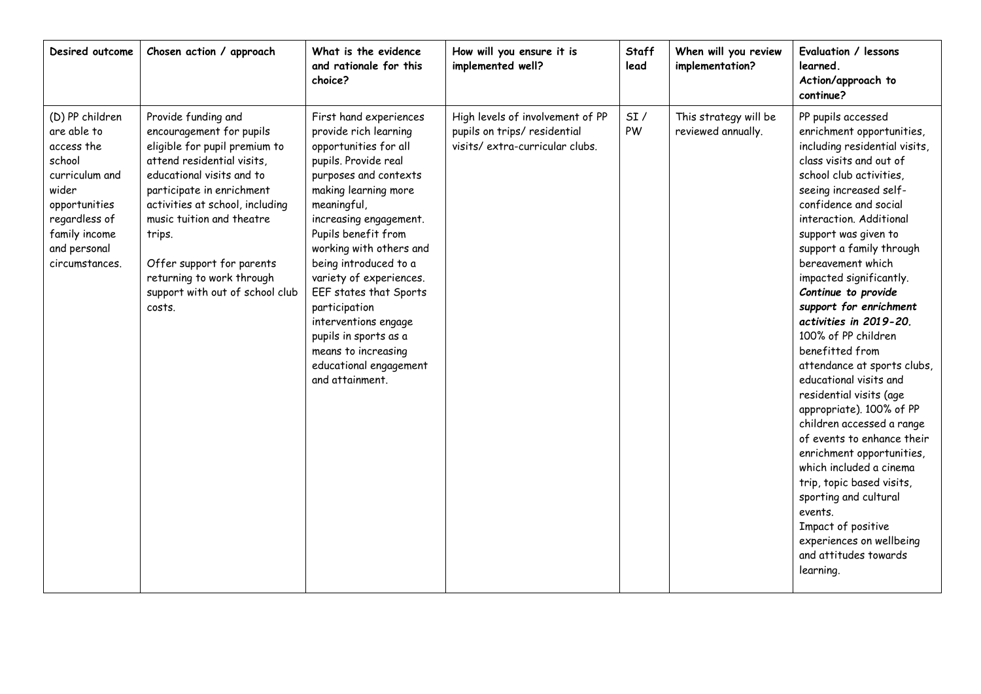| Desired outcome                                                                                                                                                        | Chosen action / approach                                                                                                                                                                                                                                                                                                                                  | What is the evidence<br>and rationale for this<br>choice?                                                                                                                                                                                                                                                                                                                                                                                                        | How will you ensure it is<br>implemented well?                                                     | Staff<br>lead | When will you review<br>implementation?     | Evaluation / lessons<br>learned.<br>Action/approach to<br>continue?                                                                                                                                                                                                                                                                                                                                                                                                                                                                                                                                                                                                                                                                                                                                                                       |
|------------------------------------------------------------------------------------------------------------------------------------------------------------------------|-----------------------------------------------------------------------------------------------------------------------------------------------------------------------------------------------------------------------------------------------------------------------------------------------------------------------------------------------------------|------------------------------------------------------------------------------------------------------------------------------------------------------------------------------------------------------------------------------------------------------------------------------------------------------------------------------------------------------------------------------------------------------------------------------------------------------------------|----------------------------------------------------------------------------------------------------|---------------|---------------------------------------------|-------------------------------------------------------------------------------------------------------------------------------------------------------------------------------------------------------------------------------------------------------------------------------------------------------------------------------------------------------------------------------------------------------------------------------------------------------------------------------------------------------------------------------------------------------------------------------------------------------------------------------------------------------------------------------------------------------------------------------------------------------------------------------------------------------------------------------------------|
| (D) PP children<br>are able to<br>access the<br>school<br>curriculum and<br>wider<br>opportunities<br>regardless of<br>family income<br>and personal<br>circumstances. | Provide funding and<br>encouragement for pupils<br>eligible for pupil premium to<br>attend residential visits,<br>educational visits and to<br>participate in enrichment<br>activities at school, including<br>music tuition and theatre<br>trips.<br>Offer support for parents<br>returning to work through<br>support with out of school club<br>costs. | First hand experiences<br>provide rich learning<br>opportunities for all<br>pupils. Provide real<br>purposes and contexts<br>making learning more<br>meaningful,<br>increasing engagement.<br>Pupils benefit from<br>working with others and<br>being introduced to a<br>variety of experiences.<br>EEF states that Sports<br>participation<br>interventions engage<br>pupils in sports as a<br>means to increasing<br>educational engagement<br>and attainment. | High levels of involvement of PP<br>pupils on trips/ residential<br>visits/extra-curricular clubs. | SI/<br>PW     | This strategy will be<br>reviewed annually. | PP pupils accessed<br>enrichment opportunities,<br>including residential visits,<br>class visits and out of<br>school club activities,<br>seeing increased self-<br>confidence and social<br>interaction. Additional<br>support was given to<br>support a family through<br>bereavement which<br>impacted significantly.<br>Continue to provide<br>support for enrichment<br>activities in 2019-20.<br>100% of PP children<br>benefitted from<br>attendance at sports clubs,<br>educational visits and<br>residential visits (age<br>appropriate). 100% of PP<br>children accessed a range<br>of events to enhance their<br>enrichment opportunities,<br>which included a cinema<br>trip, topic based visits,<br>sporting and cultural<br>events.<br>Impact of positive<br>experiences on wellbeing<br>and attitudes towards<br>learning. |